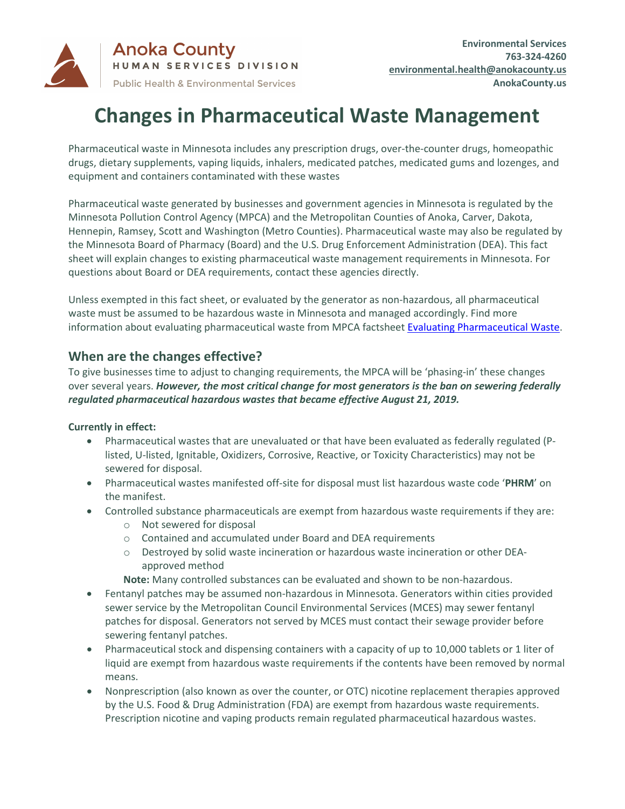

# **Changes in Pharmaceutical Waste Management**

Pharmaceutical waste in Minnesota includes any prescription drugs, over-the-counter drugs, homeopathic drugs, dietary supplements, vaping liquids, inhalers, medicated patches, medicated gums and lozenges, and equipment and containers contaminated with these wastes

Pharmaceutical waste generated by businesses and government agencies in Minnesota is regulated by the Minnesota Pollution Control Agency (MPCA) and the Metropolitan Counties of Anoka, Carver, Dakota, Hennepin, Ramsey, Scott and Washington (Metro Counties). Pharmaceutical waste may also be regulated by the Minnesota Board of Pharmacy (Board) and the U.S. Drug Enforcement Administration (DEA). This fact sheet will explain changes to existing pharmaceutical waste management requirements in Minnesota. For questions about Board or DEA requirements, contact these agencies directly.

Unless exempted in this fact sheet, or evaluated by the generator as non-hazardous, all pharmaceutical waste must be assumed to be hazardous waste in Minnesota and managed accordingly. Find more information about evaluating pharmaceutical waste from MPCA factsheet [Evaluating Pharmaceutical Waste.](https://www.pca.state.mn.us/sites/default/files/w-hw4-45a.pdf)

# **When are the changes effective?**

To give businesses time to adjust to changing requirements, the MPCA will be 'phasing-in' these changes over several years. *However, the most critical change for most generators is the ban on sewering federally regulated pharmaceutical hazardous wastes that became effective August 21, 2019.*

## **Currently in effect:**

- Pharmaceutical wastes that are unevaluated or that have been evaluated as federally regulated (Plisted, U-listed, Ignitable, Oxidizers, Corrosive, Reactive, or Toxicity Characteristics) may not be sewered for disposal.
- Pharmaceutical wastes manifested off-site for disposal must list hazardous waste code '**PHRM**' on the manifest.
- Controlled substance pharmaceuticals are exempt from hazardous waste requirements if they are:
	- o Not sewered for disposal
	- o Contained and accumulated under Board and DEA requirements
	- o Destroyed by solid waste incineration or hazardous waste incineration or other DEAapproved method

**Note:** Many controlled substances can be evaluated and shown to be non-hazardous.

- Fentanyl patches may be assumed non-hazardous in Minnesota. Generators within cities provided sewer service by the Metropolitan Council Environmental Services (MCES) may sewer fentanyl patches for disposal. Generators not served by MCES must contact their sewage provider before sewering fentanyl patches.
- Pharmaceutical stock and dispensing containers with a capacity of up to 10,000 tablets or 1 liter of liquid are exempt from hazardous waste requirements if the contents have been removed by normal means.
- Nonprescription (also known as over the counter, or OTC) nicotine replacement therapies approved by the U.S. Food & Drug Administration (FDA) are exempt from hazardous waste requirements. Prescription nicotine and vaping products remain regulated pharmaceutical hazardous wastes.